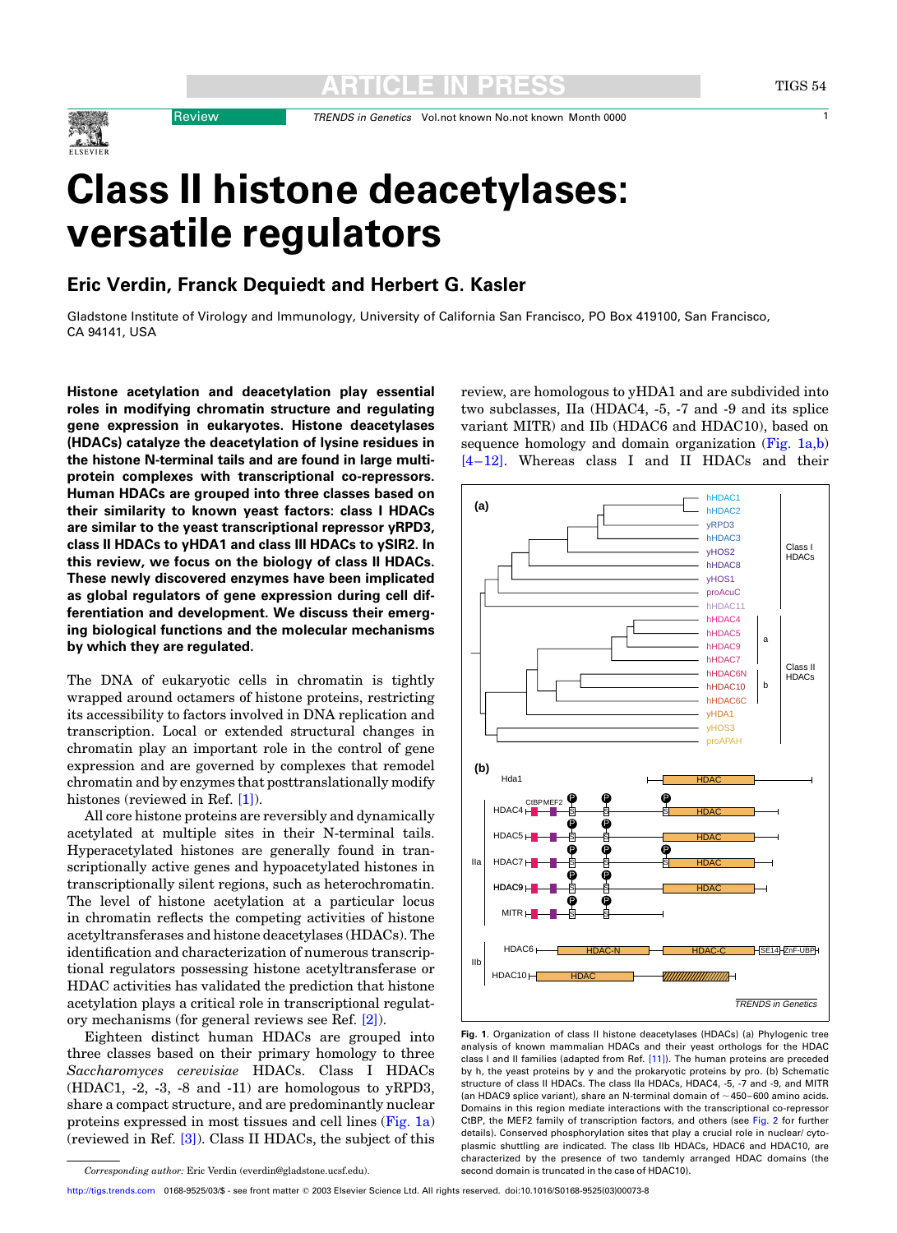<span id="page-0-0"></span>

# Class II histone deacetylases: versatile regulators

### Eric Verdin, Franck Dequiedt and Herbert G. Kasler

Gladstone Institute of Virology and Immunology, University of California San Francisco, PO Box 419100, San Francisco, CA 94141, USA

Histone acetylation and deacetylation play essential roles in modifying chromatin structure and regulating gene expression in eukaryotes. Histone deacetylases (HDACs) catalyze the deacetylation of lysine residues in the histone N-terminal tails and are found in large multiprotein complexes with transcriptional co-repressors. Human HDACs are grouped into three classes based on their similarity to known yeast factors: class I HDACs are similar to the yeast transcriptional repressor yRPD3, class II HDACs to yHDA1 and class III HDACs to ySIR2. In this review, we focus on the biology of class II HDACs. These newly discovered enzymes have been implicated as global regulators of gene expression during cell differentiation and development. We discuss their emerging biological functions and the molecular mechanisms by which they are regulated.

The DNA of eukaryotic cells in chromatin is tightly wrapped around octamers of histone proteins, restricting its accessibility to factors involved in DNA replication and transcription. Local or extended structural changes in chromatin play an important role in the control of gene expression and are governed by complexes that remodel chromatin and by enzymes that posttranslationally modify histones (reviewed in Ref. [\[1\]\)](#page-5-0).

All core histone proteins are reversibly and dynamically acetylated at multiple sites in their N-terminal tails. Hyperacetylated histones are generally found in transcriptionally active genes and hypoacetylated histones in transcriptionally silent regions, such as heterochromatin. The level of histone acetylation at a particular locus in chromatin reflects the competing activities of histone acetyltransferases and histone deacetylases (HDACs). The identification and characterization of numerous transcriptional regulators possessing histone acetyltransferase or HDAC activities has validated the prediction that histone acetylation plays a critical role in transcriptional regulatory mechanisms (for general reviews see Ref. [\[2\]](#page-5-0)).

Eighteen distinct human HDACs are grouped into three classes based on their primary homology to three Saccharomyces cerevisiae HDACs. Class I HDACs (HDAC1, -2, -3, -8 and -11) are homologous to yRPD3, share a compact structure, and are predominantly nuclear proteins expressed in most tissues and cell lines (Fig. 1a) (reviewed in Ref. [\[3\]](#page-5-0)). Class II HDACs, the subject of this review, are homologous to yHDA1 and are subdivided into two subclasses, IIa (HDAC4, -5, -7 and -9 and its splice variant MITR) and IIb (HDAC6 and HDAC10), based on sequence homology and domain organization  $(Fig. 1a,b)$ [\[4–12\].](#page-5-0) Whereas class I and II HDACs and their



Fig. 1. Organization of class II histone deacetylases (HDACs) (a) Phylogenic tree analysis of known mammalian HDACs and their yeast orthologs for the HDAC class I and II families (adapted from Ref. [\[11\]](#page-5-0)). The human proteins are preceded by h, the yeast proteins by y and the prokaryotic proteins by pro. (b) Schematic structure of class II HDACs. The class IIa HDACs, HDAC4, -5, -7 and -9, and MITR (an HDAC9 splice variant), share an N-terminal domain of  $\sim$  450–600 amino acids. Domains in this region mediate interactions with the transcriptional co-repressor CtBP, the MEF2 family of transcription factors, and others (see [Fig. 2](#page-1-0) for further details). Conserved phosphorylation sites that play a crucial role in nuclear/ cytoplasmic shuttling are indicated. The class IIb HDACs, HDAC6 and HDAC10, are characterized by the presence of two tandemly arranged HDAC domains (the second domain is truncated in the case of HDAC10).

[http://tigs.trends.com](http://www.trends.com) 0168-9525/03/\$ - see front matter © 2003 Elsevier Science Ltd. All rights reserved. doi:10.1016/S0168-9525(03)00073-8

Corresponding author: Eric Verdin (everdin@gladstone.ucsf.edu).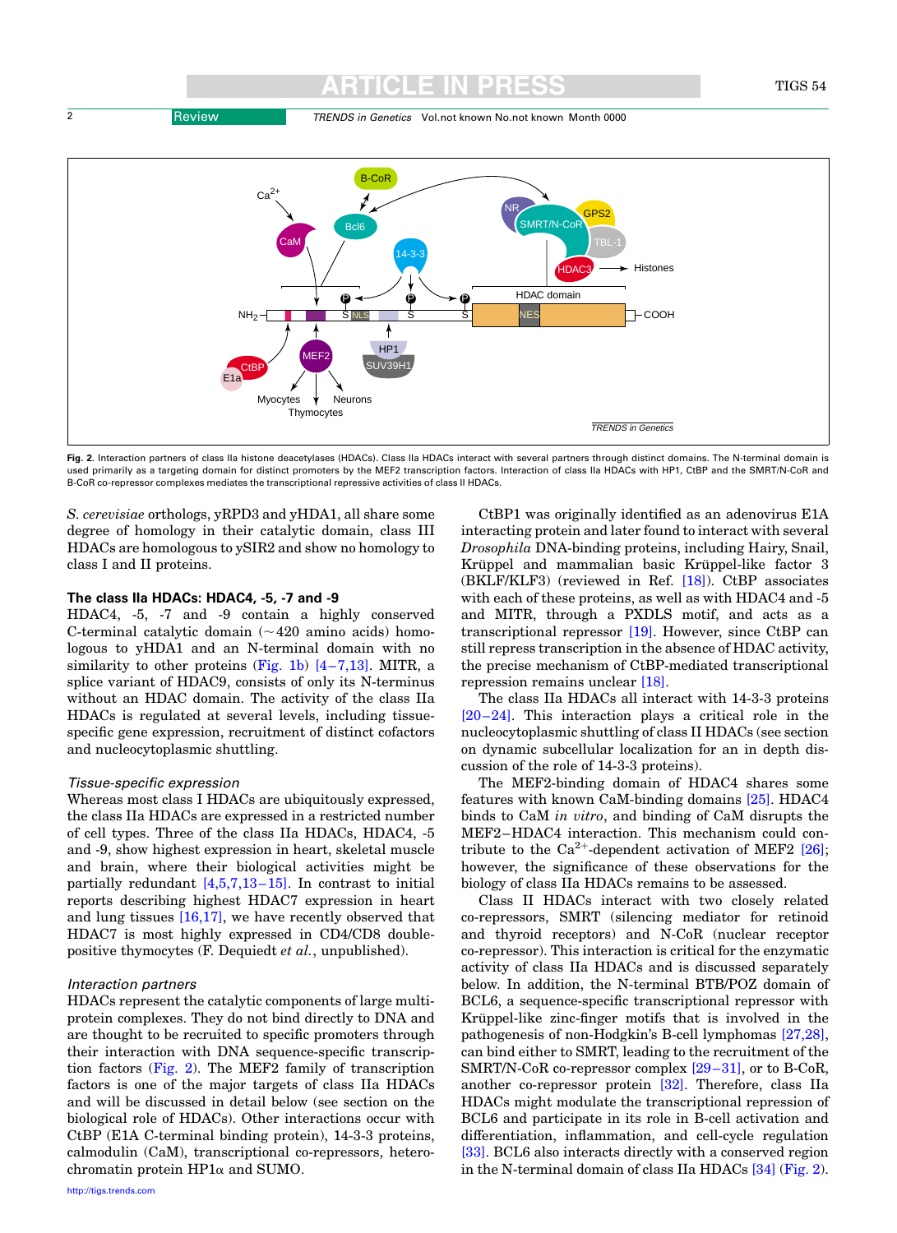<span id="page-1-0"></span>2 **Review TRENDS in Genetics Vol.not known No.not known Month 0000** 



Fig. 2. Interaction partners of class IIa histone deacetylases (HDACs). Class IIa HDACs interact with several partners through distinct domains. The N-terminal domain is used primarily as a targeting domain for distinct promoters by the MEF2 transcription factors. Interaction of class IIa HDACs with HP1, CtBP and the SMRT/N-CoR and B-CoR co-repressor complexes mediates the transcriptional repressive activities of class II HDACs.

S. cerevisiae orthologs, yRPD3 and yHDA1, all share some degree of homology in their catalytic domain, class III HDACs are homologous to ySIR2 and show no homology to class I and II proteins.

#### The class IIa HDACs: HDAC4, -5, -7 and -9

HDAC4, -5, -7 and -9 contain a highly conserved C-terminal catalytic domain  $(\sim 420$  amino acids) homologous to yHDA1 and an N-terminal domain with no similarity to other proteins ([Fig. 1b\)](#page-0-0)  $[4-7,13]$ . MITR, a splice variant of HDAC9, consists of only its N-terminus without an HDAC domain. The activity of the class IIa HDACs is regulated at several levels, including tissuespecific gene expression, recruitment of distinct cofactors and nucleocytoplasmic shuttling.

#### Tissue-specific expression

Whereas most class I HDACs are ubiquitously expressed, the class IIa HDACs are expressed in a restricted number of cell types. Three of the class IIa HDACs, HDAC4, -5 and -9, show highest expression in heart, skeletal muscle and brain, where their biological activities might be partially redundant  $[4,5,7,13-15]$ . In contrast to initial reports describing highest HDAC7 expression in heart and lung tissues [\[16,17\]](#page-6-0), we have recently observed that HDAC7 is most highly expressed in CD4/CD8 doublepositive thymocytes (F. Dequiedt et al., unpublished).

#### Interaction partners

HDACs represent the catalytic components of large multiprotein complexes. They do not bind directly to DNA and are thought to be recruited to specific promoters through their interaction with DNA sequence-specific transcription factors (Fig. 2). The MEF2 family of transcription factors is one of the major targets of class IIa HDACs and will be discussed in detail below (see section on the biological role of HDACs). Other interactions occur with CtBP (E1A C-terminal binding protein), 14-3-3 proteins, calmodulin (CaM), transcriptional co-repressors, heterochromatin protein  $HP1\alpha$  and SUMO.

CtBP1 was originally identified as an adenovirus E1A interacting protein and later found to interact with several Drosophila DNA-binding proteins, including Hairy, Snail, Krüppel and mammalian basic Krüppel-like factor 3 (BKLF/KLF3) (reviewed in Ref. [\[18\]](#page-6-0)). CtBP associates with each of these proteins, as well as with HDAC4 and -5 and MITR, through a PXDLS motif, and acts as a transcriptional repressor [\[19\].](#page-6-0) However, since CtBP can still repress transcription in the absence of HDAC activity, the precise mechanism of CtBP-mediated transcriptional repression remains unclear [\[18\]](#page-6-0).

The class IIa HDACs all interact with 14-3-3 proteins  $[20-24]$ . This interaction plays a critical role in the nucleocytoplasmic shuttling of class II HDACs (see section on dynamic subcellular localization for an in depth discussion of the role of 14-3-3 proteins).

The MEF2-binding domain of HDAC4 shares some features with known CaM-binding domains [\[25\]](#page-6-0). HDAC4 binds to CaM in vitro, and binding of CaM disrupts the MEF2–HDAC4 interaction. This mechanism could contribute to the  $Ca^{2+}$ -dependent activation of MEF2 [\[26\]](#page-6-0); however, the significance of these observations for the biology of class IIa HDACs remains to be assessed.

Class II HDACs interact with two closely related co-repressors, SMRT (silencing mediator for retinoid and thyroid receptors) and N-CoR (nuclear receptor co-repressor). This interaction is critical for the enzymatic activity of class IIa HDACs and is discussed separately below. In addition, the N-terminal BTB/POZ domain of BCL6, a sequence-specific transcriptional repressor with Krüppel-like zinc-finger motifs that is involved in the pathogenesis of non-Hodgkin's B-cell lymphomas [\[27,28\]](#page-6-0), can bind either to SMRT, leading to the recruitment of the SMRT/N-CoR co-repressor complex [\[29–31\]](#page-6-0), or to B-CoR, another co-repressor protein [\[32\]](#page-6-0). Therefore, class IIa HDACs might modulate the transcriptional repression of BCL6 and participate in its role in B-cell activation and differentiation, inflammation, and cell-cycle regulation [\[33\].](#page-6-0) BCL6 also interacts directly with a conserved region in the N-terminal domain of class IIa HDACs [\[34\]](#page-6-0) (Fig. 2).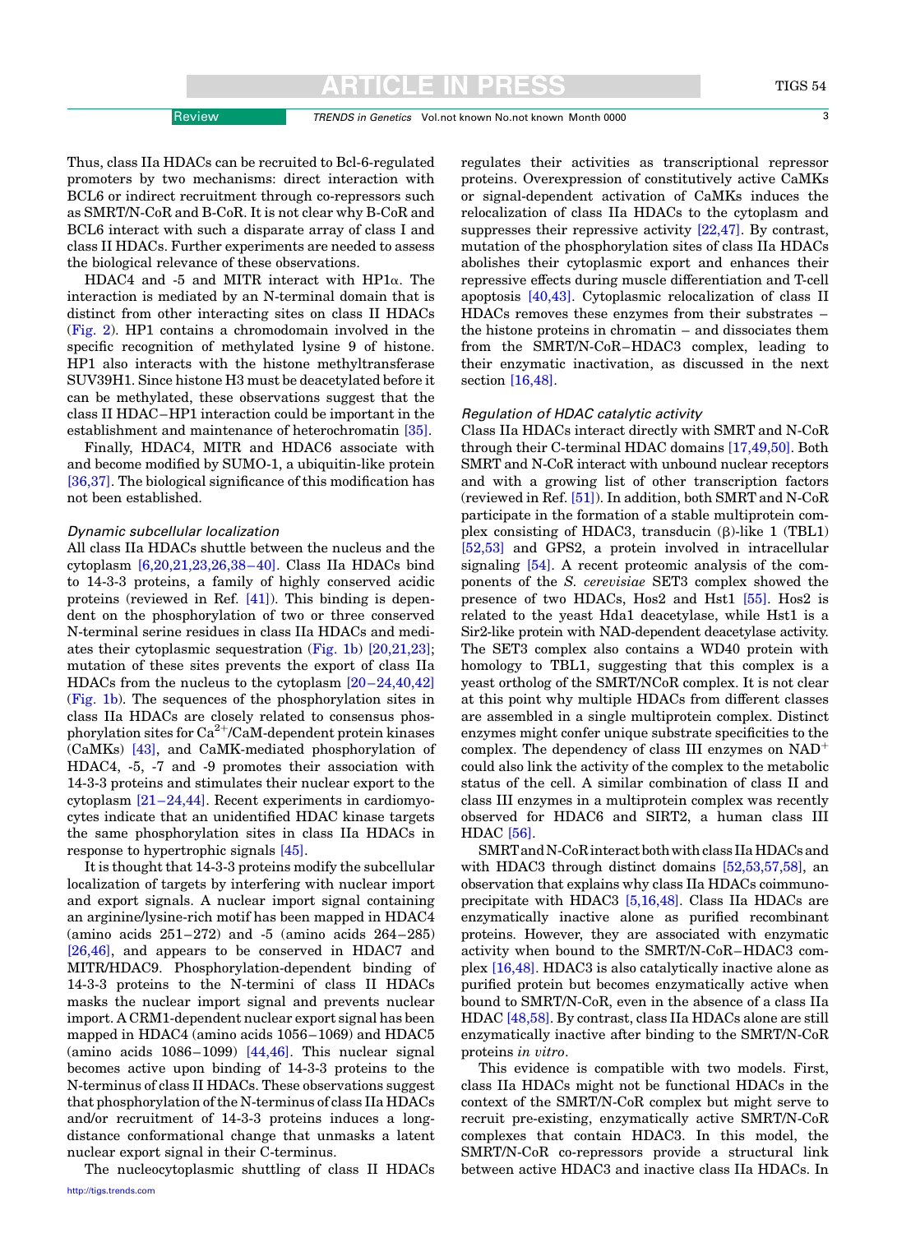### ICLE IN

Review TRENDS in Genetics Vol.not known No.not known Month 0000 3 3

Thus, class IIa HDACs can be recruited to Bcl-6-regulated promoters by two mechanisms: direct interaction with BCL6 or indirect recruitment through co-repressors such as SMRT/N-CoR and B-CoR. It is not clear why B-CoR and BCL6 interact with such a disparate array of class I and class II HDACs. Further experiments are needed to assess the biological relevance of these observations.

HDAC4 and -5 and MITR interact with HP1 $\alpha$ . The interaction is mediated by an N-terminal domain that is distinct from other interacting sites on class II HDACs ([Fig. 2\)](#page-1-0). HP1 contains a chromodomain involved in the specific recognition of methylated lysine 9 of histone. HP1 also interacts with the histone methyltransferase SUV39H1. Since histone H3 must be deacetylated before it can be methylated, these observations suggest that the class II HDAC–HP1 interaction could be important in the establishment and maintenance of heterochromatin [\[35\]](#page-6-0).

Finally, HDAC4, MITR and HDAC6 associate with and become modified by SUMO-1, a ubiquitin-like protein [\[36,37\].](#page-6-0) The biological significance of this modification has not been established.

#### Dynamic subcellular localization

All class IIa HDACs shuttle between the nucleus and the cytoplasm [\[6,20,21,23,26,38–40\].](#page-5-0) Class IIa HDACs bind to 14-3-3 proteins, a family of highly conserved acidic proteins (reviewed in Ref. [\[41\]](#page-6-0)). This binding is dependent on the phosphorylation of two or three conserved N-terminal serine residues in class IIa HDACs and mediates their cytoplasmic sequestration [\(Fig. 1b\)](#page-0-0) [\[20,21,23\]](#page-6-0); mutation of these sites prevents the export of class IIa HDACs from the nucleus to the cytoplasm [\[20–24,40,42\]](#page-6-0) ([Fig. 1b](#page-0-0)). The sequences of the phosphorylation sites in class IIa HDACs are closely related to consensus phosphorylation sites for  $Ca^{2+}/CaM$ -dependent protein kinases (CaMKs) [\[43\],](#page-6-0) and CaMK-mediated phosphorylation of HDAC4, -5, -7 and -9 promotes their association with 14-3-3 proteins and stimulates their nuclear export to the cytoplasm  $[21-24,44]$ . Recent experiments in cardiomyocytes indicate that an unidentified HDAC kinase targets the same phosphorylation sites in class IIa HDACs in response to hypertrophic signals [\[45\].](#page-6-0)

It is thought that 14-3-3 proteins modify the subcellular localization of targets by interfering with nuclear import and export signals. A nuclear import signal containing an arginine/lysine-rich motif has been mapped in HDAC4 (amino acids 251–272) and -5 (amino acids 264–285) [\[26,46\],](#page-6-0) and appears to be conserved in HDAC7 and MITR/HDAC9. Phosphorylation-dependent binding of 14-3-3 proteins to the N-termini of class II HDACs masks the nuclear import signal and prevents nuclear import. A CRM1-dependent nuclear export signal has been mapped in HDAC4 (amino acids 1056–1069) and HDAC5  $(\text{amino acids } 1086-1099)$   $[44.46]$ . This nuclear signal becomes active upon binding of 14-3-3 proteins to the N-terminus of class II HDACs. These observations suggest that phosphorylation of the N-terminus of class IIa HDACs and/or recruitment of 14-3-3 proteins induces a longdistance conformational change that unmasks a latent nuclear export signal in their C-terminus.

The nucleocytoplasmic shuttling of class II HDACs [http://tigs.trends.com](http://www.trends.com)

regulates their activities as transcriptional repressor proteins. Overexpression of constitutively active CaMKs or signal-dependent activation of CaMKs induces the relocalization of class IIa HDACs to the cytoplasm and suppresses their repressive activity [\[22,47\].](#page-6-0) By contrast, mutation of the phosphorylation sites of class IIa HDACs abolishes their cytoplasmic export and enhances their repressive effects during muscle differentiation and T-cell apoptosis [\[40,43\]](#page-6-0). Cytoplasmic relocalization of class II HDACs removes these enzymes from their substrates – the histone proteins in chromatin – and dissociates them from the SMRT/N-CoR–HDAC3 complex, leading to their enzymatic inactivation, as discussed in the next section [\[16,48\].](#page-6-0)

#### Regulation of HDAC catalytic activity

Class IIa HDACs interact directly with SMRT and N-CoR through their C-terminal HDAC domains [\[17,49,50\].](#page-6-0) Both SMRT and N-CoR interact with unbound nuclear receptors and with a growing list of other transcription factors (reviewed in Ref. [\[51\]](#page-6-0)). In addition, both SMRT and N-CoR participate in the formation of a stable multiprotein complex consisting of HDAC3, transducin  $(\beta)$ -like 1 (TBL1) [\[52,53\]](#page-6-0) and GPS2, a protein involved in intracellular signaling [\[54\]](#page-6-0). A recent proteomic analysis of the components of the S. cerevisiae SET3 complex showed the presence of two HDACs, Hos2 and Hst1 [\[55\].](#page-6-0) Hos2 is related to the yeast Hda1 deacetylase, while Hst1 is a Sir2-like protein with NAD-dependent deacetylase activity. The SET3 complex also contains a WD40 protein with homology to TBL1, suggesting that this complex is a yeast ortholog of the SMRT/NCoR complex. It is not clear at this point why multiple HDACs from different classes are assembled in a single multiprotein complex. Distinct enzymes might confer unique substrate specificities to the complex. The dependency of class III enzymes on  $NAD^+$ could also link the activity of the complex to the metabolic status of the cell. A similar combination of class II and class III enzymes in a multiprotein complex was recently observed for HDAC6 and SIRT2, a human class III HDAC [\[56\]](#page-6-0).

SMRT and N-CoR interact both with class IIa HDACs and with HDAC3 through distinct domains [\[52,53,57,58\],](#page-6-0) an observation that explains why class IIa HDACs coimmunoprecipitate with HDAC3 [\[5,16,48\].](#page-5-0) Class IIa HDACs are enzymatically inactive alone as purified recombinant proteins. However, they are associated with enzymatic activity when bound to the SMRT/N-CoR–HDAC3 complex [\[16,48\]](#page-6-0). HDAC3 is also catalytically inactive alone as purified protein but becomes enzymatically active when bound to SMRT/N-CoR, even in the absence of a class IIa HDAC [\[48,58\]](#page-6-0). By contrast, class IIa HDACs alone are still enzymatically inactive after binding to the SMRT/N-CoR proteins in vitro.

This evidence is compatible with two models. First, class IIa HDACs might not be functional HDACs in the context of the SMRT/N-CoR complex but might serve to recruit pre-existing, enzymatically active SMRT/N-CoR complexes that contain HDAC3. In this model, the SMRT/N-CoR co-repressors provide a structural link between active HDAC3 and inactive class IIa HDACs. In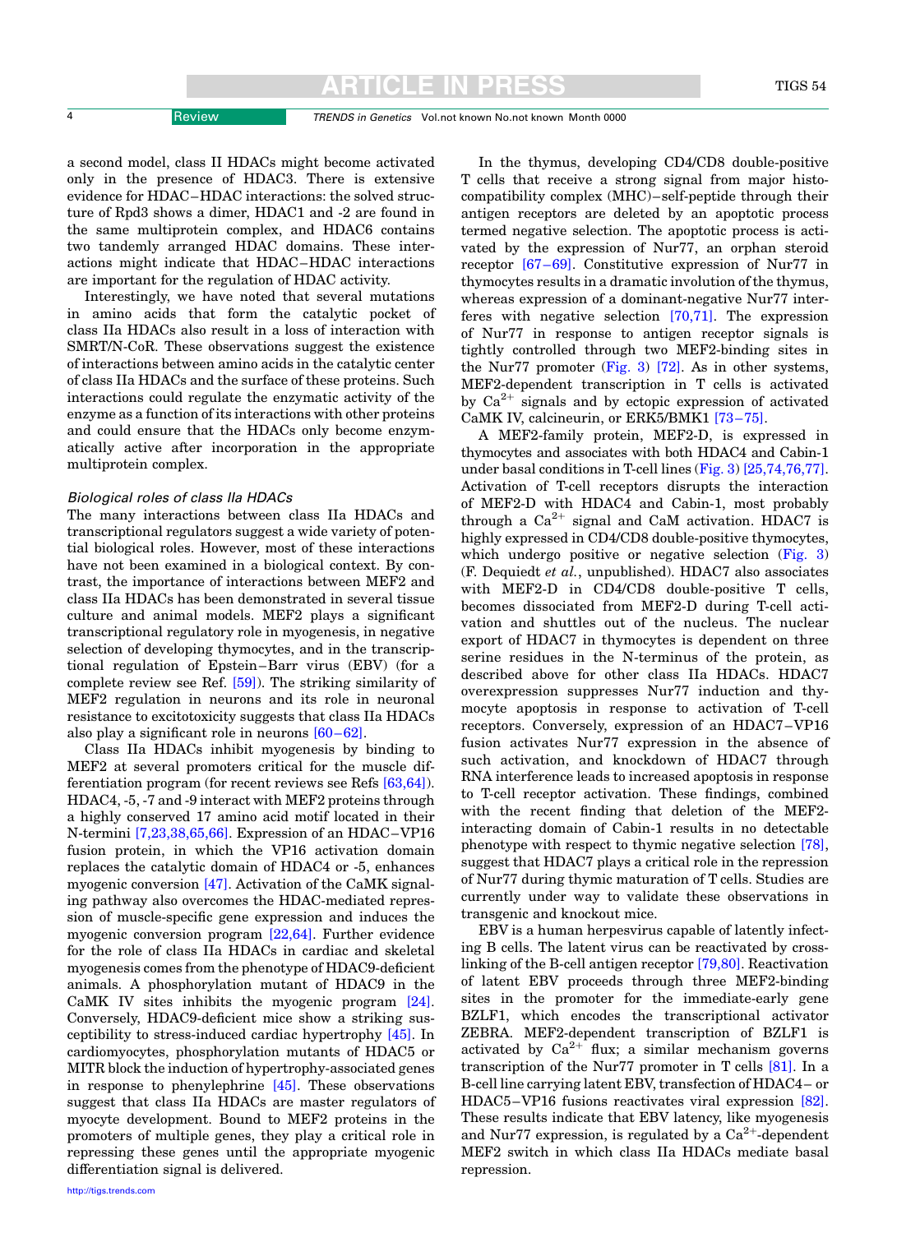4 Review TRENDS in Genetics Vol.not known No.not known Month 0000

a second model, class II HDACs might become activated only in the presence of HDAC3. There is extensive evidence for HDAC–HDAC interactions: the solved structure of Rpd3 shows a dimer, HDAC1 and -2 are found in the same multiprotein complex, and HDAC6 contains two tandemly arranged HDAC domains. These interactions might indicate that HDAC–HDAC interactions are important for the regulation of HDAC activity.

Interestingly, we have noted that several mutations in amino acids that form the catalytic pocket of class IIa HDACs also result in a loss of interaction with SMRT/N-CoR. These observations suggest the existence of interactions between amino acids in the catalytic center of class IIa HDACs and the surface of these proteins. Such interactions could regulate the enzymatic activity of the enzyme as a function of its interactions with other proteins and could ensure that the HDACs only become enzymatically active after incorporation in the appropriate multiprotein complex.

#### Biological roles of class IIa HDACs

The many interactions between class IIa HDACs and transcriptional regulators suggest a wide variety of potential biological roles. However, most of these interactions have not been examined in a biological context. By contrast, the importance of interactions between MEF2 and class IIa HDACs has been demonstrated in several tissue culture and animal models. MEF2 plays a significant transcriptional regulatory role in myogenesis, in negative selection of developing thymocytes, and in the transcriptional regulation of Epstein–Barr virus (EBV) (for a complete review see Ref. [\[59\]](#page-6-0)). The striking similarity of MEF2 regulation in neurons and its role in neuronal resistance to excitotoxicity suggests that class IIa HDACs also play a significant role in neurons [\[60–62\]](#page-6-0).

Class IIa HDACs inhibit myogenesis by binding to MEF2 at several promoters critical for the muscle differentiation program (for recent reviews see Refs [\[63,64\]](#page-6-0)). HDAC4, -5, -7 and -9 interact with MEF2 proteins through a highly conserved 17 amino acid motif located in their N-termini [\[7,23,38,65,66\]](#page-5-0). Expression of an HDAC–VP16 fusion protein, in which the VP16 activation domain replaces the catalytic domain of HDAC4 or -5, enhances myogenic conversion [\[47\].](#page-6-0) Activation of the CaMK signaling pathway also overcomes the HDAC-mediated repression of muscle-specific gene expression and induces the myogenic conversion program [\[22,64\]](#page-6-0). Further evidence for the role of class IIa HDACs in cardiac and skeletal myogenesis comes from the phenotype of HDAC9-deficient animals. A phosphorylation mutant of HDAC9 in the CaMK IV sites inhibits the myogenic program [\[24\]](#page-6-0). Conversely, HDAC9-deficient mice show a striking susceptibility to stress-induced cardiac hypertrophy [\[45\]](#page-6-0). In cardiomyocytes, phosphorylation mutants of HDAC5 or MITR block the induction of hypertrophy-associated genes in response to phenylephrine [\[45\].](#page-6-0) These observations suggest that class IIa HDACs are master regulators of myocyte development. Bound to MEF2 proteins in the promoters of multiple genes, they play a critical role in repressing these genes until the appropriate myogenic differentiation signal is delivered.

In the thymus, developing CD4/CD8 double-positive T cells that receive a strong signal from major histocompatibility complex (MHC)–self-peptide through their antigen receptors are deleted by an apoptotic process termed negative selection. The apoptotic process is activated by the expression of Nur77, an orphan steroid receptor [\[67–69\].](#page-7-0) Constitutive expression of Nur77 in thymocytes results in a dramatic involution of the thymus, whereas expression of a dominant-negative Nur<sub>77</sub> interferes with negative selection [\[70,71\].](#page-7-0) The expression of Nur77 in response to antigen receptor signals is tightly controlled through two MEF2-binding sites in the Nur77 promoter ([Fig. 3\)](#page-4-0) [\[72\].](#page-7-0) As in other systems, MEF2-dependent transcription in T cells is activated by  $Ca^{2+}$  signals and by ectopic expression of activated CaMK IV, calcineurin, or ERK5/BMK1 [\[73–75\].](#page-7-0)

A MEF2-family protein, MEF2-D, is expressed in thymocytes and associates with both HDAC4 and Cabin-1 under basal conditions in T-cell lines [\(Fig. 3\)](#page-4-0) [\[25,74,76,77\]](#page-6-0). Activation of T-cell receptors disrupts the interaction of MEF2-D with HDAC4 and Cabin-1, most probably through a  $Ca^{2+}$  signal and CaM activation. HDAC7 is highly expressed in CD4/CD8 double-positive thymocytes, which undergo positive or negative selection  $(Fig. 3)$ (F. Dequiedt et al., unpublished). HDAC7 also associates with MEF2-D in CD4/CD8 double-positive T cells, becomes dissociated from MEF2-D during T-cell activation and shuttles out of the nucleus. The nuclear export of HDAC7 in thymocytes is dependent on three serine residues in the N-terminus of the protein, as described above for other class IIa HDACs. HDAC7 overexpression suppresses Nur77 induction and thymocyte apoptosis in response to activation of T-cell receptors. Conversely, expression of an HDAC7–VP16 fusion activates Nur77 expression in the absence of such activation, and knockdown of HDAC7 through RNA interference leads to increased apoptosis in response to T-cell receptor activation. These findings, combined with the recent finding that deletion of the MEF2 interacting domain of Cabin-1 results in no detectable phenotype with respect to thymic negative selection [\[78\]](#page-7-0), suggest that HDAC7 plays a critical role in the repression of Nur77 during thymic maturation of T cells. Studies are currently under way to validate these observations in transgenic and knockout mice.

EBV is a human herpesvirus capable of latently infecting B cells. The latent virus can be reactivated by crosslinking of the B-cell antigen receptor [\[79,80\].](#page-7-0) Reactivation of latent EBV proceeds through three MEF2-binding sites in the promoter for the immediate-early gene BZLF1, which encodes the transcriptional activator ZEBRA. MEF2-dependent transcription of BZLF1 is activated by  $Ca^{2+}$  flux; a similar mechanism governs transcription of the Nur77 promoter in T cells [\[81\]](#page-7-0). In a B-cell line carrying latent EBV, transfection of HDAC4– or HDAC5–VP16 fusions reactivates viral expression [\[82\]](#page-7-0). These results indicate that EBV latency, like myogenesis and Nur77 expression, is regulated by a  $Ca^{2+}$ -dependent MEF2 switch in which class IIa HDACs mediate basal repression.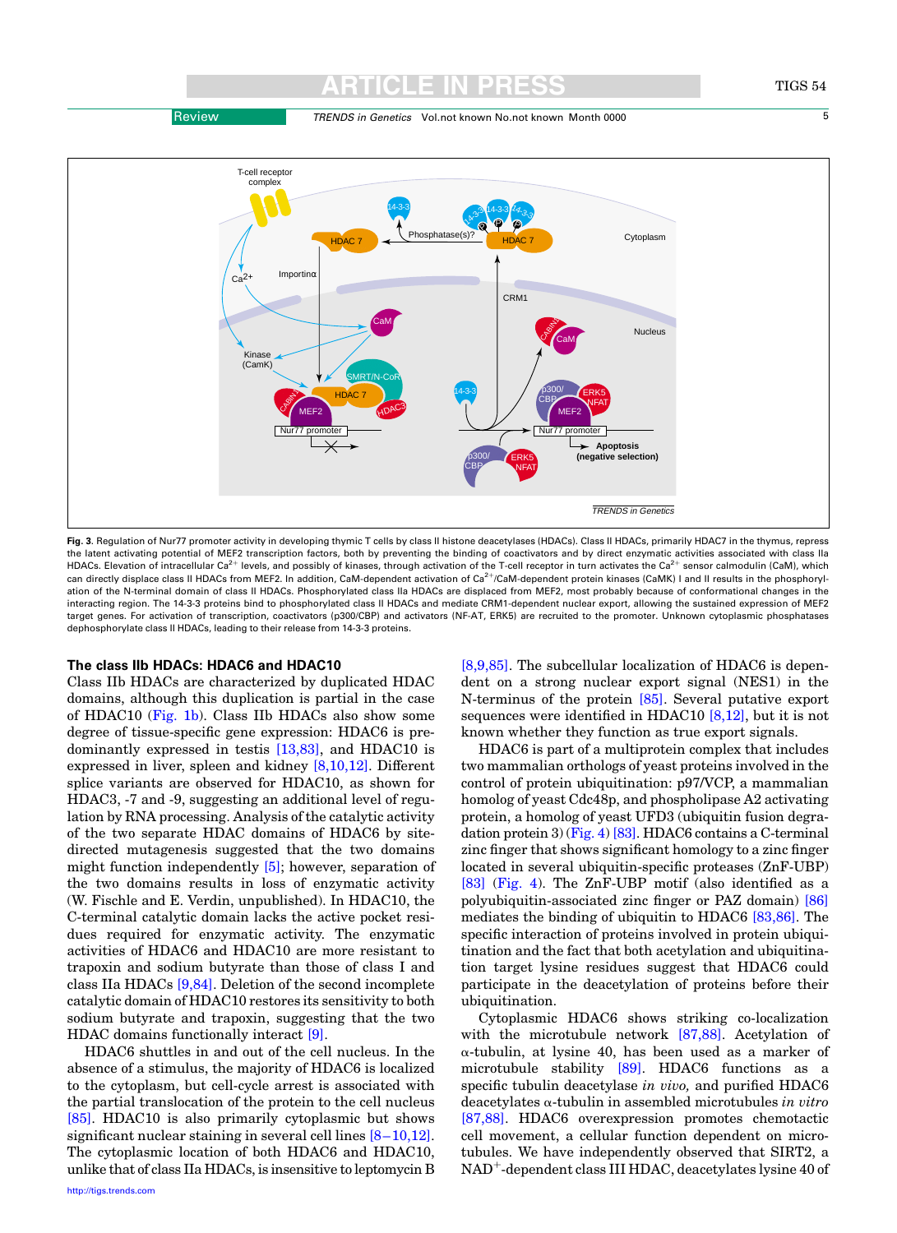Review TRENDS in Genetics Vol.not known No.not known Month 0000 5



<span id="page-4-0"></span>

Fig. 3. Regulation of Nur77 promoter activity in developing thymic T cells by class II histone deacetylases (HDACs). Class II HDACs, primarily HDAC7 in the thymus, repress the latent activating potential of MEF2 transcription factors, both by preventing the binding of coactivators and by direct enzymatic activities associated with class IIa HDACs. Elevation of intracellular Ca<sup>2+</sup> levels, and possibly of kinases, through activation of the T-cell receptor in turn activates the Ca<sup>2+</sup> sensor calmodulin (CaM), which can directly displace class II HDACs from MEF2. In addition, CaM-dependent activation of Ca<sup>2+</sup>/CaM-dependent protein kinases (CaMK) I and II results in the phosphorylation of the N-terminal domain of class II HDACs. Phosphorylated class IIa HDACs are displaced from MEF2, most probably because of conformational changes in the interacting region. The 14-3-3 proteins bind to phosphorylated class II HDACs and mediate CRM1-dependent nuclear export, allowing the sustained expression of MEF2 target genes. For activation of transcription, coactivators (p300/CBP) and activators (NF-AT, ERK5) are recruited to the promoter. Unknown cytoplasmic phosphatases dephosphorylate class II HDACs, leading to their release from 14-3-3 proteins.

#### The class IIb HDACs: HDAC6 and HDAC10

Class IIb HDACs are characterized by duplicated HDAC domains, although this duplication is partial in the case of HDAC10 [\(Fig. 1b\)](#page-0-0). Class IIb HDACs also show some degree of tissue-specific gene expression: HDAC6 is predominantly expressed in testis [\[13,83\]](#page-6-0), and HDAC10 is expressed in liver, spleen and kidney [\[8,10,12\].](#page-5-0) Different splice variants are observed for HDAC10, as shown for HDAC3, -7 and -9, suggesting an additional level of regulation by RNA processing. Analysis of the catalytic activity of the two separate HDAC domains of HDAC6 by sitedirected mutagenesis suggested that the two domains might function independently [\[5\];](#page-5-0) however, separation of the two domains results in loss of enzymatic activity (W. Fischle and E. Verdin, unpublished). In HDAC10, the C-terminal catalytic domain lacks the active pocket residues required for enzymatic activity. The enzymatic activities of HDAC6 and HDAC10 are more resistant to trapoxin and sodium butyrate than those of class I and class IIa HDACs [\[9,84\]](#page-5-0). Deletion of the second incomplete catalytic domain of HDAC10 restores its sensitivity to both sodium butyrate and trapoxin, suggesting that the two HDAC domains functionally interact [\[9\]](#page-5-0).

HDAC6 shuttles in and out of the cell nucleus. In the absence of a stimulus, the majority of HDAC6 is localized to the cytoplasm, but cell-cycle arrest is associated with the partial translocation of the protein to the cell nucleus [\[85\].](#page-7-0) HDAC10 is also primarily cytoplasmic but shows significant nuclear staining in several cell lines [\[8–10,12\]](#page-5-0). The cytoplasmic location of both HDAC6 and HDAC10, unlike that of class IIa HDACs, is insensitive to leptomycin B [\[8,9,85\]](#page-5-0). The subcellular localization of HDAC6 is dependent on a strong nuclear export signal (NES1) in the N-terminus of the protein [\[85\]](#page-7-0). Several putative export sequences were identified in HDAC10  $[8,12]$ , but it is not known whether they function as true export signals.

HDAC6 is part of a multiprotein complex that includes two mammalian orthologs of yeast proteins involved in the control of protein ubiquitination: p97/VCP, a mammalian homolog of yeast Cdc48p, and phospholipase A2 activating protein, a homolog of yeast UFD3 (ubiquitin fusion degradation protein 3) ([Fig. 4](#page-5-0)) [\[83\]](#page-7-0). HDAC6 contains a C-terminal zinc finger that shows significant homology to a zinc finger located in several ubiquitin-specific proteases (ZnF-UBP) [\[83\]](#page-7-0) ([Fig. 4\)](#page-5-0). The ZnF-UBP motif (also identified as a polyubiquitin-associated zinc finger or PAZ domain) [\[86\]](#page-7-0) mediates the binding of ubiquitin to HDAC6 [\[83,86\]](#page-7-0). The specific interaction of proteins involved in protein ubiquitination and the fact that both acetylation and ubiquitination target lysine residues suggest that HDAC6 could participate in the deacetylation of proteins before their ubiquitination.

Cytoplasmic HDAC6 shows striking co-localization with the microtubule network [\[87,88\].](#page-7-0) Acetylation of  $\alpha$ -tubulin, at lysine 40, has been used as a marker of microtubule stability [\[89\]](#page-7-0). HDAC6 functions as a specific tubulin deacetylase *in vivo*, and purified HDAC6 deacetylates  $\alpha$ -tubulin in assembled microtubules in vitro [\[87,88\].](#page-7-0) HDAC6 overexpression promotes chemotactic cell movement, a cellular function dependent on microtubules. We have independently observed that SIRT2, a NAD<sup>+</sup>-dependent class III HDAC, deacetylates lysine 40 of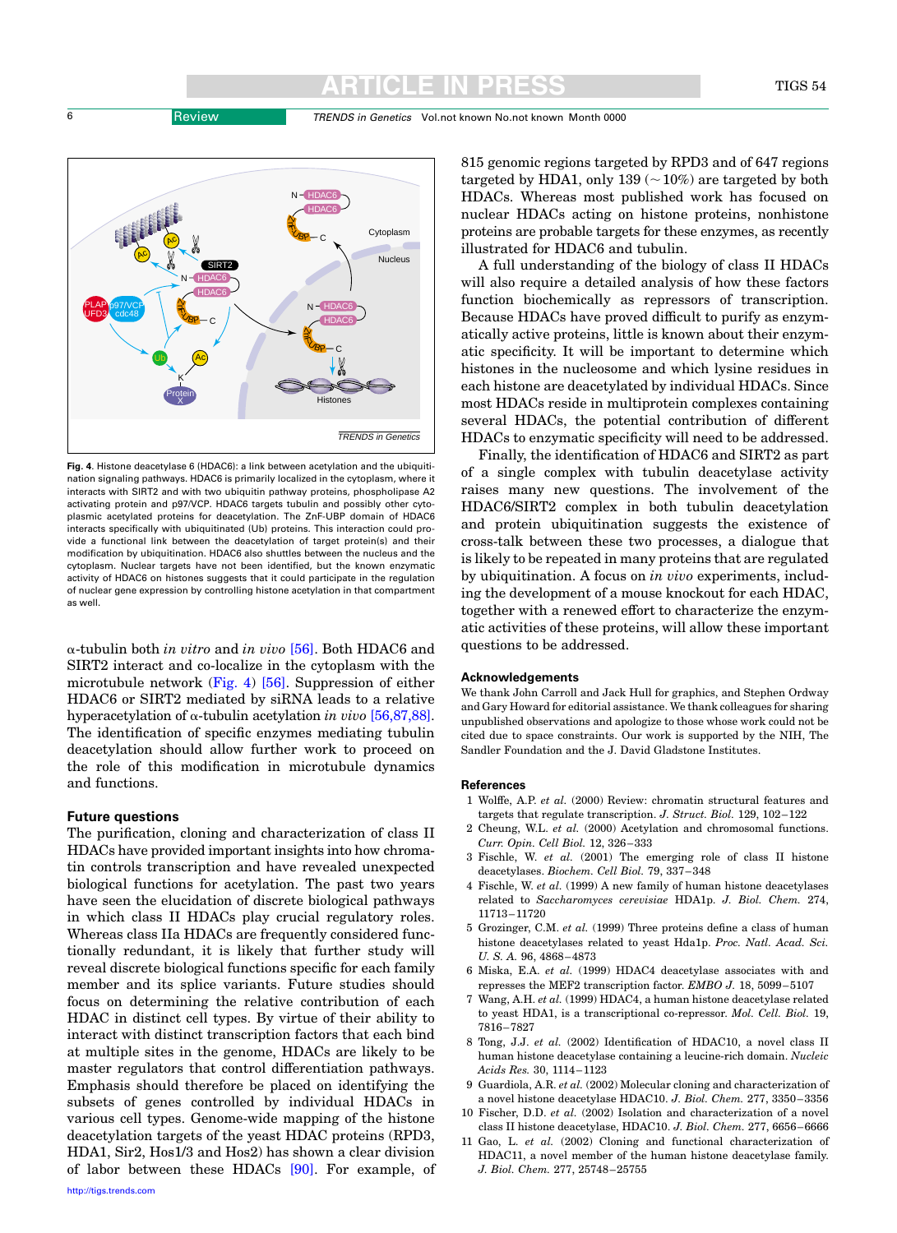<span id="page-5-0"></span>6 Review TRENDS in Genetics Vol.not known No.not known Month 0000



Fig. 4. Histone deacetylase 6 (HDAC6): a link between acetylation and the ubiquitination signaling pathways. HDAC6 is primarily localized in the cytoplasm, where it interacts with SIRT2 and with two ubiquitin pathway proteins, phospholipase A2 activating protein and p97/VCP. HDAC6 targets tubulin and possibly other cytoplasmic acetylated proteins for deacetylation. The ZnF-UBP domain of HDAC6 interacts specifically with ubiquitinated (Ub) proteins. This interaction could provide a functional link between the deacetylation of target protein(s) and their modification by ubiquitination. HDAC6 also shuttles between the nucleus and the cytoplasm. Nuclear targets have not been identified, but the known enzymatic activity of HDAC6 on histones suggests that it could participate in the regulation of nuclear gene expression by controlling histone acetylation in that compartment as well.

 $\alpha$ -tubulin both in vitro and in vivo [\[56\].](#page-6-0) Both HDAC6 and SIRT2 interact and co-localize in the cytoplasm with the microtubule network (Fig. 4) [\[56\]](#page-6-0). Suppression of either HDAC6 or SIRT2 mediated by siRNA leads to a relative hyperacetylation of  $\alpha$ -tubulin acetylation *in vivo* [\[56,87,88\]](#page-6-0). The identification of specific enzymes mediating tubulin deacetylation should allow further work to proceed on the role of this modification in microtubule dynamics and functions.

#### Future questions

The purification, cloning and characterization of class II HDACs have provided important insights into how chromatin controls transcription and have revealed unexpected biological functions for acetylation. The past two years have seen the elucidation of discrete biological pathways in which class II HDACs play crucial regulatory roles. Whereas class IIa HDACs are frequently considered functionally redundant, it is likely that further study will reveal discrete biological functions specific for each family member and its splice variants. Future studies should focus on determining the relative contribution of each HDAC in distinct cell types. By virtue of their ability to interact with distinct transcription factors that each bind at multiple sites in the genome, HDACs are likely to be master regulators that control differentiation pathways. Emphasis should therefore be placed on identifying the subsets of genes controlled by individual HDACs in various cell types. Genome-wide mapping of the histone deacetylation targets of the yeast HDAC proteins (RPD3, HDA1, Sir2, Hos1/3 and Hos2) has shown a clear division of labor between these HDACs [\[90\]](#page-7-0). For example, of 815 genomic regions targeted by RPD3 and of 647 regions targeted by HDA1, only 139  $(\sim 10\%)$  are targeted by both HDACs. Whereas most published work has focused on nuclear HDACs acting on histone proteins, nonhistone proteins are probable targets for these enzymes, as recently illustrated for HDAC6 and tubulin.

A full understanding of the biology of class II HDACs will also require a detailed analysis of how these factors function biochemically as repressors of transcription. Because HDACs have proved difficult to purify as enzymatically active proteins, little is known about their enzymatic specificity. It will be important to determine which histones in the nucleosome and which lysine residues in each histone are deacetylated by individual HDACs. Since most HDACs reside in multiprotein complexes containing several HDACs, the potential contribution of different HDACs to enzymatic specificity will need to be addressed.

Finally, the identification of HDAC6 and SIRT2 as part of a single complex with tubulin deacetylase activity raises many new questions. The involvement of the HDAC6/SIRT2 complex in both tubulin deacetylation and protein ubiquitination suggests the existence of cross-talk between these two processes, a dialogue that is likely to be repeated in many proteins that are regulated by ubiquitination. A focus on in vivo experiments, including the development of a mouse knockout for each HDAC, together with a renewed effort to characterize the enzymatic activities of these proteins, will allow these important questions to be addressed.

#### Acknowledgements

We thank John Carroll and Jack Hull for graphics, and Stephen Ordway and Gary Howard for editorial assistance. We thank colleagues for sharing unpublished observations and apologize to those whose work could not be cited due to space constraints. Our work is supported by the NIH, The Sandler Foundation and the J. David Gladstone Institutes.

#### **References**

- 1 Wolffe, A.P. et al. (2000) Review: chromatin structural features and targets that regulate transcription. J. Struct. Biol. 129, 102–122
- 2 Cheung, W.L. et al. (2000) Acetylation and chromosomal functions. Curr. Opin. Cell Biol. 12, 326–333
- 3 Fischle, W. et al. (2001) The emerging role of class II histone deacetylases. Biochem. Cell Biol. 79, 337–348
- 4 Fischle, W. et al. (1999) A new family of human histone deacetylases related to Saccharomyces cerevisiae HDA1p. J. Biol. Chem. 274, 11713–11720
- 5 Grozinger, C.M. et al. (1999) Three proteins define a class of human histone deacetylases related to yeast Hda1p. Proc. Natl. Acad. Sci. U. S. A. 96, 4868–4873
- 6 Miska, E.A. et al. (1999) HDAC4 deacetylase associates with and represses the MEF2 transcription factor. EMBO J. 18, 5099–5107
- 7 Wang, A.H. et al. (1999) HDAC4, a human histone deacetylase related to yeast HDA1, is a transcriptional co-repressor. Mol. Cell. Biol. 19, 7816–7827
- 8 Tong, J.J. et al. (2002) Identification of HDAC10, a novel class II human histone deacetylase containing a leucine-rich domain. Nucleic Acids Res. 30, 1114–1123
- 9 Guardiola, A.R. et al. (2002) Molecular cloning and characterization of a novel histone deacetylase HDAC10. J. Biol. Chem. 277, 3350–3356
- 10 Fischer, D.D. et al. (2002) Isolation and characterization of a novel class II histone deacetylase, HDAC10. J. Biol. Chem. 277, 6656–6666
- 11 Gao, L. et al. (2002) Cloning and functional characterization of HDAC11, a novel member of the human histone deacetylase family. J. Biol. Chem. 277, 25748–25755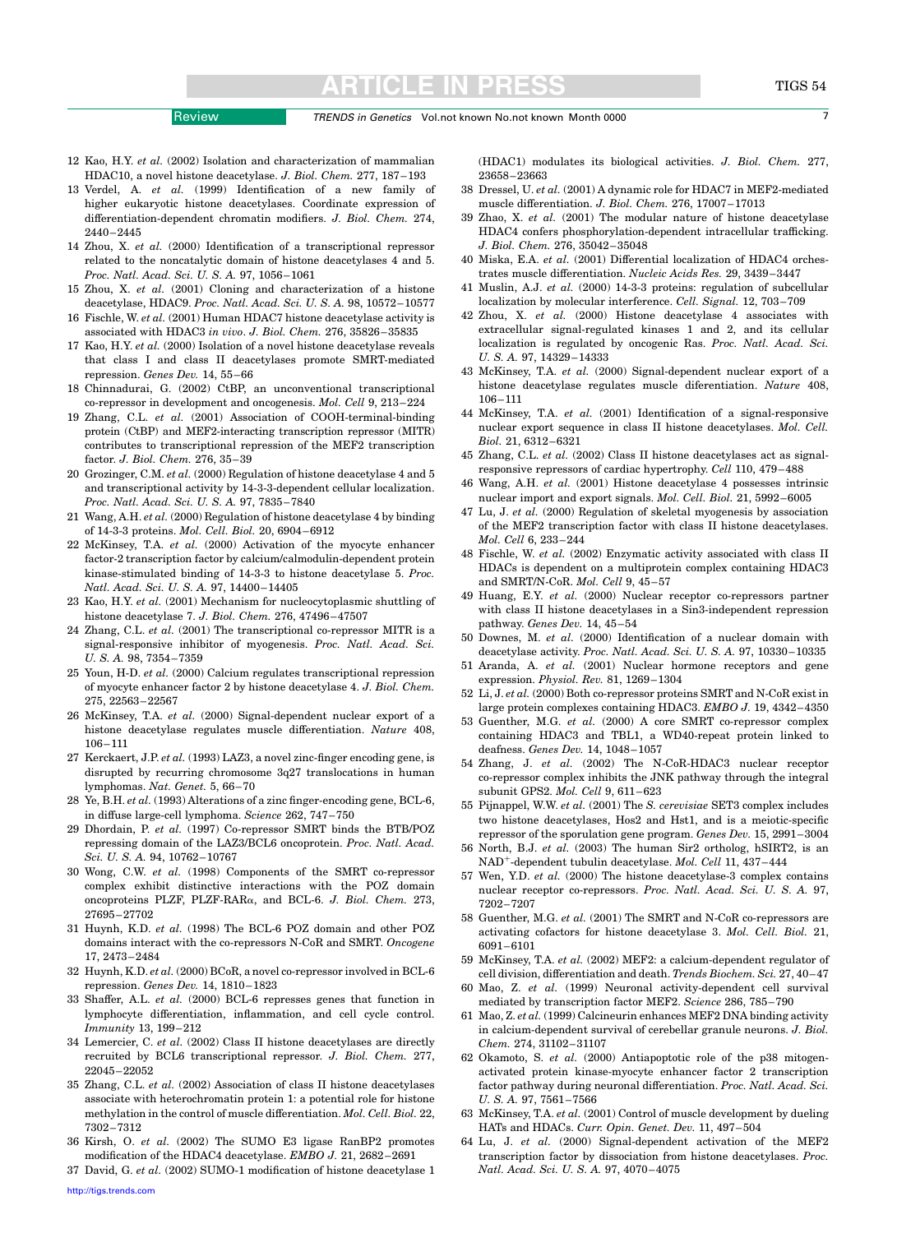Review TRENDS in Genetics Vol.not known No.not known Month 0000 7

- <span id="page-6-0"></span>12 Kao, H.Y. et al. (2002) Isolation and characterization of mammalian HDAC10, a novel histone deacetylase. J. Biol. Chem. 277, 187–193
- 13 Verdel, A. et al. (1999) Identification of a new family of higher eukaryotic histone deacetylases. Coordinate expression of differentiation-dependent chromatin modifiers. J. Biol. Chem. 274, 2440–2445
- 14 Zhou, X. et al. (2000) Identification of a transcriptional repressor related to the noncatalytic domain of histone deacetylases 4 and 5. Proc. Natl. Acad. Sci. U. S. A. 97, 1056–1061
- 15 Zhou, X. et al. (2001) Cloning and characterization of a histone deacetylase, HDAC9. Proc. Natl. Acad. Sci. U. S. A. 98, 10572–10577
- 16 Fischle, W. et al. (2001) Human HDAC7 histone deacetylase activity is associated with HDAC3 in vivo. J. Biol. Chem. 276, 35826–35835
- 17 Kao, H.Y. et al. (2000) Isolation of a novel histone deacetylase reveals that class I and class II deacetylases promote SMRT-mediated repression. Genes Dev. 14, 55–66
- 18 Chinnadurai, G. (2002) CtBP, an unconventional transcriptional co-repressor in development and oncogenesis. Mol. Cell 9, 213–224
- 19 Zhang, C.L. et al. (2001) Association of COOH-terminal-binding protein (CtBP) and MEF2-interacting transcription repressor (MITR) contributes to transcriptional repression of the MEF2 transcription factor. J. Biol. Chem. 276, 35–39
- 20 Grozinger, C.M. et al. (2000) Regulation of histone deacetylase 4 and 5 and transcriptional activity by 14-3-3-dependent cellular localization. Proc. Natl. Acad. Sci. U. S. A. 97, 7835–7840
- 21 Wang, A.H. et al. (2000) Regulation of histone deacetylase 4 by binding of 14-3-3 proteins. Mol. Cell. Biol. 20, 6904–6912
- 22 McKinsey, T.A. et al. (2000) Activation of the myocyte enhancer factor-2 transcription factor by calcium/calmodulin-dependent protein kinase-stimulated binding of 14-3-3 to histone deacetylase 5. Proc. Natl. Acad. Sci. U. S. A. 97, 14400–14405
- 23 Kao, H.Y. et al. (2001) Mechanism for nucleocytoplasmic shuttling of histone deacetylase 7. J. Biol. Chem. 276, 47496–47507
- 24 Zhang, C.L. et al. (2001) The transcriptional co-repressor MITR is a signal-responsive inhibitor of myogenesis. Proc. Natl. Acad. Sci. U. S. A. 98, 7354–7359
- 25 Youn, H-D. et al. (2000) Calcium regulates transcriptional repression of myocyte enhancer factor 2 by histone deacetylase 4. J. Biol. Chem. 275, 22563–22567
- 26 McKinsey, T.A. et al. (2000) Signal-dependent nuclear export of a histone deacetylase regulates muscle differentiation. Nature 408, 106–111
- 27 Kerckaert, J.P. et al. (1993) LAZ3, a novel zinc-finger encoding gene, is disrupted by recurring chromosome 3q27 translocations in human lymphomas. Nat. Genet. 5, 66–70
- 28 Ye, B.H. et al. (1993) Alterations of a zinc finger-encoding gene, BCL-6, in diffuse large-cell lymphoma. Science 262, 747–750
- 29 Dhordain, P. et al. (1997) Co-repressor SMRT binds the BTB/POZ repressing domain of the LAZ3/BCL6 oncoprotein. Proc. Natl. Acad. Sci. U. S. A. 94, 10762–10767
- 30 Wong, C.W. et al. (1998) Components of the SMRT co-repressor complex exhibit distinctive interactions with the POZ domain oncoproteins PLZF, PLZF-RARa, and BCL-6. J. Biol. Chem. 273, 27695–27702
- 31 Huynh, K.D. et al. (1998) The BCL-6 POZ domain and other POZ domains interact with the co-repressors N-CoR and SMRT. Oncogene 17, 2473–2484
- 32 Huynh, K.D. et al. (2000) BCoR, a novel co-repressor involved in BCL-6 repression. Genes Dev. 14, 1810–1823
- 33 Shaffer, A.L. et al. (2000) BCL-6 represses genes that function in lymphocyte differentiation, inflammation, and cell cycle control. Immunity 13, 199–212
- 34 Lemercier, C. et al. (2002) Class II histone deacetylases are directly recruited by BCL6 transcriptional repressor. J. Biol. Chem. 277, 22045–22052
- 35 Zhang, C.L. et al. (2002) Association of class II histone deacetylases associate with heterochromatin protein 1: a potential role for histone methylation in the control of muscle differentiation. Mol. Cell. Biol. 22, 7302–7312
- 36 Kirsh, O. et al. (2002) The SUMO E3 ligase RanBP2 promotes modification of the HDAC4 deacetylase. EMBO J. 21, 2682–2691
- 37 David, G. et al. (2002) SUMO-1 modification of histone deacetylase 1

(HDAC1) modulates its biological activities. J. Biol. Chem. 277, 23658–23663

- 38 Dressel, U. et al. (2001) A dynamic role for HDAC7 in MEF2-mediated muscle differentiation. J. Biol. Chem. 276, 17007–17013
- 39 Zhao, X. et al. (2001) The modular nature of histone deacetylase HDAC4 confers phosphorylation-dependent intracellular trafficking. J. Biol. Chem. 276, 35042–35048
- 40 Miska, E.A. et al. (2001) Differential localization of HDAC4 orchestrates muscle differentiation. Nucleic Acids Res. 29, 3439–3447
- 41 Muslin, A.J. et al. (2000) 14-3-3 proteins: regulation of subcellular localization by molecular interference. Cell. Signal. 12, 703–709
- 42 Zhou, X. et al. (2000) Histone deacetylase 4 associates with extracellular signal-regulated kinases 1 and 2, and its cellular localization is regulated by oncogenic Ras. Proc. Natl. Acad. Sci. U. S. A. 97, 14329–14333
- 43 McKinsey, T.A. et al. (2000) Signal-dependent nuclear export of a histone deacetylase regulates muscle diferentiation. Nature 408, 106–111
- 44 McKinsey, T.A. et al. (2001) Identification of a signal-responsive nuclear export sequence in class II histone deacetylases. Mol. Cell. Biol. 21, 6312–6321
- 45 Zhang, C.L. et al. (2002) Class II histone deacetylases act as signalresponsive repressors of cardiac hypertrophy. Cell 110, 479–488
- 46 Wang, A.H. et al. (2001) Histone deacetylase 4 possesses intrinsic nuclear import and export signals. Mol. Cell. Biol. 21, 5992–6005
- 47 Lu, J. et al. (2000) Regulation of skeletal myogenesis by association of the MEF2 transcription factor with class II histone deacetylases. Mol. Cell 6, 233–244
- 48 Fischle, W. et al. (2002) Enzymatic activity associated with class II HDACs is dependent on a multiprotein complex containing HDAC3 and SMRT/N-CoR. Mol. Cell 9, 45–57
- 49 Huang, E.Y. et al. (2000) Nuclear receptor co-repressors partner with class II histone deacetylases in a Sin3-independent repression pathway. Genes Dev. 14, 45–54
- 50 Downes, M. et al. (2000) Identification of a nuclear domain with deacetylase activity. Proc. Natl. Acad. Sci. U. S. A. 97, 10330–10335
- 51 Aranda, A. et al. (2001) Nuclear hormone receptors and gene expression. Physiol. Rev. 81, 1269–1304
- 52 Li, J. et al. (2000) Both co-repressor proteins SMRT and N-CoR exist in large protein complexes containing HDAC3. EMBO J. 19, 4342–4350
- 53 Guenther, M.G. et al. (2000) A core SMRT co-repressor complex containing HDAC3 and TBL1, a WD40-repeat protein linked to deafness. Genes Dev. 14, 1048–1057
- 54 Zhang, J. et al. (2002) The N-CoR-HDAC3 nuclear receptor co-repressor complex inhibits the JNK pathway through the integral subunit GPS2. Mol. Cell 9, 611–623
- 55 Pijnappel, W.W. et al. (2001) The S. cerevisiae SET3 complex includes two histone deacetylases, Hos2 and Hst1, and is a meiotic-specific repressor of the sporulation gene program. Genes Dev. 15, 2991–3004
- 56 North, B.J. et al. (2003) The human Sir2 ortholog, hSIRT2, is an NAD<sup>+</sup>-dependent tubulin deacetylase. Mol. Cell 11, 437-444
- 57 Wen, Y.D. et al. (2000) The histone deacetylase-3 complex contains nuclear receptor co-repressors. Proc. Natl. Acad. Sci. U. S. A. 97, 7202–7207
- 58 Guenther, M.G. et al. (2001) The SMRT and N-CoR co-repressors are activating cofactors for histone deacetylase 3. Mol. Cell. Biol. 21, 6091–6101
- 59 McKinsey, T.A. et al. (2002) MEF2: a calcium-dependent regulator of cell division, differentiation and death. Trends Biochem. Sci. 27, 40–47
- 60 Mao, Z. et al. (1999) Neuronal activity-dependent cell survival mediated by transcription factor MEF2. Science 286, 785–790
- 61 Mao, Z. et al. (1999) Calcineurin enhances MEF2 DNA binding activity in calcium-dependent survival of cerebellar granule neurons. J. Biol. Chem. 274, 31102–31107
- 62 Okamoto, S. et al. (2000) Antiapoptotic role of the p38 mitogenactivated protein kinase-myocyte enhancer factor 2 transcription factor pathway during neuronal differentiation. Proc. Natl. Acad. Sci. U. S. A. 97, 7561–7566
- 63 McKinsey, T.A. et al. (2001) Control of muscle development by dueling HATs and HDACs. Curr. Opin. Genet. Dev. 11, 497–504
- 64 Lu, J. et al. (2000) Signal-dependent activation of the MEF2 transcription factor by dissociation from histone deacetylases. Proc. Natl. Acad. Sci. U. S. A. 97, 4070–4075